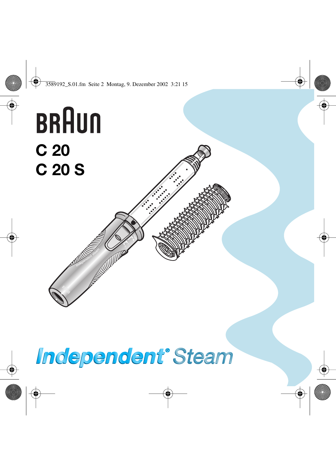

# **Independent' Steam**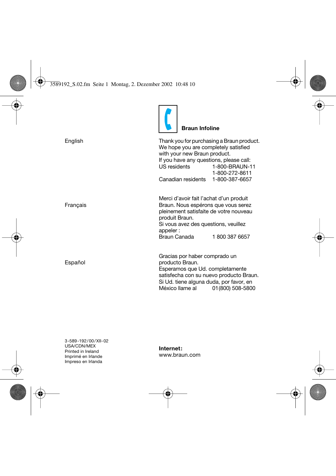|          | <b>Braun Infoline</b>                                                                                                                                                                                             |
|----------|-------------------------------------------------------------------------------------------------------------------------------------------------------------------------------------------------------------------|
| English  | Thank you for purchasing a Braun product.<br>We hope you are completely satisfied<br>with your new Braun product.<br>If you have any questions, please call:<br>US residents<br>1-800-BRAUN-11<br>1-800-272-8611  |
|          | Canadian residents<br>1-800-387-6657                                                                                                                                                                              |
| Français | Merci d'avoir fait l'achat d'un produit<br>Braun. Nous espérons que vous serez<br>pleinement satisfaite de votre nouveau<br>produit Braun.<br>Si vous avez des questions, veuillez<br>appeler:                    |
|          | Braun Canada<br>18003876657                                                                                                                                                                                       |
| Español  | Gracias por haber comprado un<br>producto Braun.<br>Esperamos que Ud. completamente<br>satisfecha con su nuevo producto Braun.<br>Si Ud. tiene alguna duda, por favor, en<br>México llame al<br>01 (800) 508-5800 |

**Internet:** www.braun.com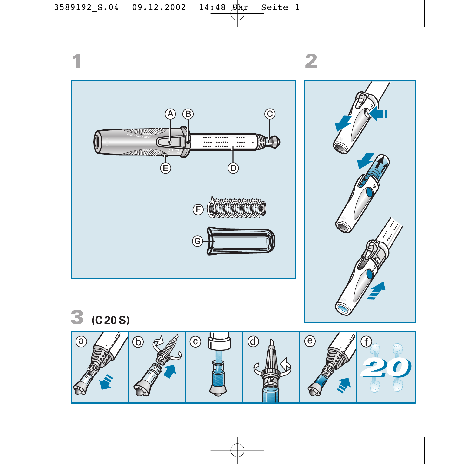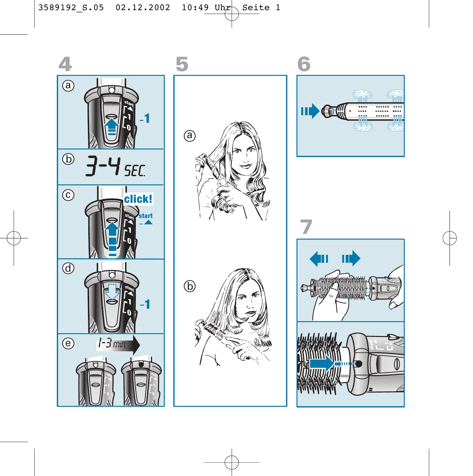







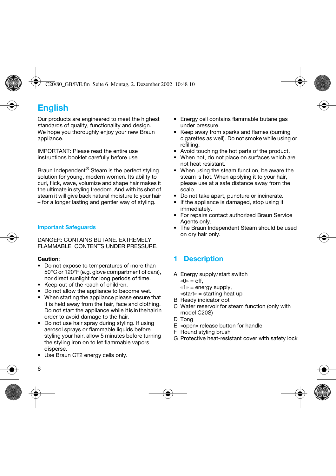# **English**

Our products are engineered to meet the highest standards of quality, functionality and design. We hope you thoroughly enjoy your new Braun appliance.

IMPORTANT: Please read the entire use instructions booklet carefully before use.

Braun Independent<sup>®</sup> Steam is the perfect styling solution for young, modern women. Its ability to curl, flick, wave, volumize and shape hair makes it the ultimate in styling freedom. And with its shot of steam it will give back natural moisture to your hair – for a longer lasting and gentler way of styling.

## **Important Safeguards**

DANGER: CONTAINS BUTANE. EXTREMELY FLAMMABLE. CONTENTS UNDER PRESSURE.

## **Caution**:

- Do not expose to temperatures of more than 50 °C or 120°F (e.g. glove compartment of cars), nor direct sunlight for long periods of time.
- Keep out of the reach of children.
- Do not allow the appliance to become wet.
- When starting the appliance please ensure that it is held away from the hair, face and clothing. Do not start the appliance while it is in the hair in order to avoid damage to the hair.
- Do not use hair spray during styling. If using aerosol sprays or flammable liquids before styling your hair, allow 5 minutes before turning the styling iron on to let flammable vapors disperse.
- Use Braun CT2 energy cells only.
- Energy cell contains flammable butane gas under pressure.
- Keep away from sparks and flames (burning cigarettes as well). Do not smoke while using or refilling.
- Avoid touching the hot parts of the product.
- When hot, do not place on surfaces which are not heat resistant.
- When using the steam function, be aware the steam is hot. When applying it to your hair, please use at a safe distance away from the scalp.
- Do not take apart, puncture or incinerate.
- If the appliance is damaged, stop using it immediately.
- For repairs contact authorized Braun Service Agents only.
- The Braun Independent Steam should be used on dry hair only.

## **1 Description**

- A Energy supply/start switch  $w = \inf$ 
	- «1» = energy supply,
	- «start» = starting heat up
- B Ready indicator dot
- C Water reservoir for steam function (only with model C20S)
- D Tong
- E «open» release button for handle
- F Round styling brush
- G Protective heat-resistant cover with safety lock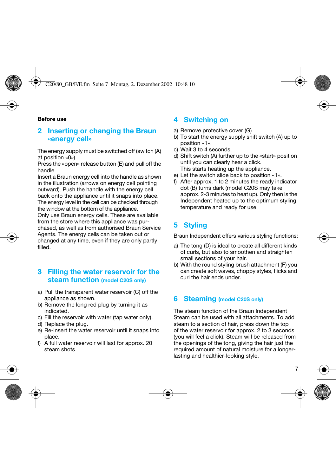#### **Before use**

## **2 Inserting or changing the Braun «energy cell»**

The energy supply must be switched off (switch (A) at position «0»).

Press the «open» release button (E) and pull off the handle.

Insert a Braun energy cell into the handle as shown in the illustration (arrows on energy cell pointing outward). Push the handle with the energy cell back onto the appliance until it snaps into place. The energy level in the cell can be checked through the window at the bottom of the appliance. Only use Braun energy cells. These are available from the store where this appliance was purchased, as well as from authorised Braun Service Agents. The energy cells can be taken out or changed at any time, even if they are only partly filled.

## **3 Filling the water reservoir for the steam function (model C20S only)**

- a) Pull the transparent water reservoir (C) off the appliance as shown.
- b) Remove the long red plug by turning it as indicated.
- c) Fill the reservoir with water (tap water only).
- d) Replace the plug.
- e) Re-insert the water reservoir until it snaps into place.
- f) A full water reservoir will last for approx. 20 steam shots.

## **4 Switching on**

- a) Remove protective cover (G)
- b) To start the energy supply shift switch (A) up to position «1».
- c) Wait 3 to 4 seconds.
- d) Shift switch (A) further up to the «start» position until you can clearly hear a click. This starts heating up the appliance.
- e) Let the switch slide back to position «1».
- f) After approx. 1 to 2 minutes the ready indicator dot (B) turns dark (model C20S may take approx. 2-3 minutes to heat up). Only then is the Independent heated up to the optimum styling temperature and ready for use.

## **5 Styling**

Braun Independent offers various styling functions:

- a) The tong (D) is ideal to create all different kinds of curls, but also to smoothen and straighten small sections of your hair.
- b) With the round styling brush attachment (F) you can create soft waves, choppy styles, flicks and curl the hair ends under.

## **6 Steaming (model C20S only)**

The steam function of the Braun Independent Steam can be used with all attachments. To add steam to a section of hair, press down the top of the water reservoir for approx. 2 to 3 seconds (you will feel a click). Steam will be released from the openings of the tong, giving the hair just the required amount of natural moisture for a longerlasting and healthier-looking style.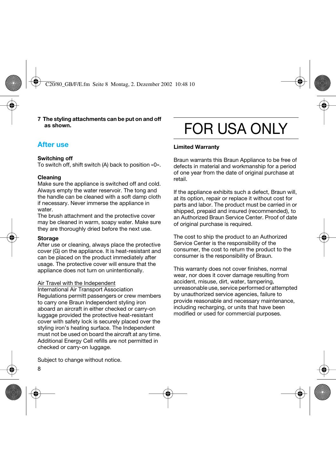**7 The styling attachments can be put on and off as shown.**

## **After use**

#### **Switching off**

To switch off, shift switch (A) back to position «0».

## **Cleaning**

Make sure the appliance is switched off and cold. Always empty the water reservoir. The tong and the handle can be cleaned with a soft damp cloth if necessary. Never immerse the appliance in water.

The brush attachment and the protective cover may be cleaned in warm, soapy water. Make sure they are thoroughly dried before the next use.

#### **Storage**

After use or cleaning, always place the protective cover (G) on the appliance. It is heat-resistant and can be placed on the product immediately after usage. The protective cover will ensure that the appliance does not turn on unintentionally.

### Air Travel with the Independent

International Air Transport Association Regulations permitt passengers or crew members to carry one Braun Independent styling iron aboard an aircraft in either checked or carry-on luggage provided the protective heat-resistant cover with safety lock is securely placed over the styling iron's heating surface. The Independent must not be used on board the aircraft at any time. Additional Energy Cell refills are not permitted in checked or carry-on luggage.

# FOR USA ONLY

#### **Limited Warranty**

Braun warrants this Braun Appliance to be free of defects in material and workmanship for a period of one year from the date of original purchase at retail.

If the appliance exhibits such a defect, Braun will, at its option, repair or replace it without cost for parts and labor. The product must be carried in or shipped, prepaid and insured (recommended), to an Authorized Braun Service Center. Proof of date of original purchase is required.

The cost to ship the product to an Authorized Service Center is the responsibility of the consumer, the cost to return the product to the consumer is the responsibility of Braun.

This warranty does not cover finishes, normal wear, nor does it cover damage resulting from accident, misuse, dirt, water, tampering, unreasonable use, service performed or attempted by unauthorized service agencies, failure to provide reasonable and necessary maintenance, including recharging, or units that have been modified or used for commercial purposes.

Subject to change without notice.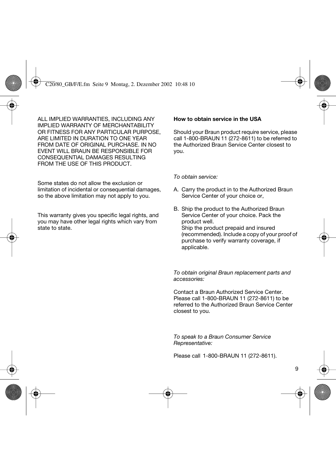ALL IMPLIED WARRANTIES, INCLUDING ANY IMPLIED WARRANTY OF MERCHANTABILITY OR FITNESS FOR ANY PARTICULAR PURPOSE ARE LIMITED IN DURATION TO ONE YEAR FROM DATE OF ORIGINAL PURCHASE. IN NO EVENT WILL BRAUN BE RESPONSIBLE FOR CONSEQUENTIAL DAMAGES RESULTING FROM THE USE OF THIS PRODUCT.

Some states do not allow the exclusion or limitation of incidental or consequential damages, so the above limitation may not apply to you.

This warranty gives you specific legal rights, and you may have other legal rights which vary from state to state.

#### **How to obtain service in the USA**

Should your Braun product require service, please call 1-800-BRAUN 11 (272-8611) to be referred to the Authorized Braun Service Center closest to you.

*To obtain service:*

- A. Carry the product in to the Authorized Braun Service Center of your choice or,
- B. Ship the product to the Authorized Braun Service Center of your choice. Pack the product well. Ship the product prepaid and insured (recommended). Include a copy of your proof of purchase to verify warranty coverage, if applicable.

*To obtain original Braun replacement parts and accessories:*

Contact a Braun Authorized Service Center. Please call 1-800-BRAUN 11 (272-8611) to be referred to the Authorized Braun Service Center closest to you.

*To speak to a Braun Consumer Service Representative:*

Please call 1-800-BRAUN 11 (272-8611).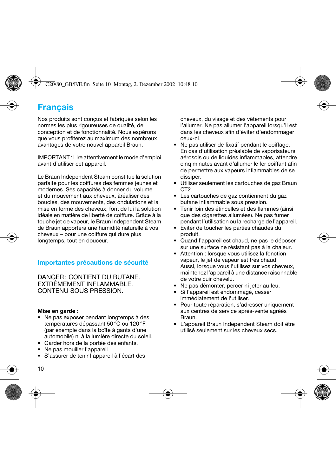## **Français**

Nos produits sont conçus et fabriqués selon les normes les plus rigoureuses de qualité, de conception et de fonctionnalité. Nous espérons que vous profiterez au maximum des nombreux avantages de votre nouvel appareil Braun.

IMPORTANT : Lire attentivement le mode d'emploi avant d'utiliser cet appareil.

Le Braun Independent Steam constitue la solution parfaite pour les coiffures des femmes jeunes et modernes. Ses capacités à donner du volume et du mouvement aux cheveux, àréaliser des boucles, des mouvements, des ondulations et la mise en forme des cheveux, font de lui la solution idéale en matière de liberté de coiffure. Grâce à la touche jet de vapeur, le Braun Independent Steam de Braun apportera une humidité naturelle à vos cheveux – pour une coiffure qui dure plus longtemps, tout en douceur.

## **Importantes précautions de sécurité**

DANGER : CONTIENT DU BUTANE. EXTRÊMEMENT INFLAMMABLE. CONTENU SOUS PRESSION.

### **Mise en garde :**

- Ne pas exposer pendant longtemps à des températures dépassant 50 °C ou 120 °F (par exemple dans la boîte à gants d'une automobile) ni à la lumière directe du soleil.
- Garder hors de la portée des enfants.
- Ne pas mouiller l'appareil.
- S'assurer de tenir l'appareil à l'écart des

cheveux, du visage et des vêtements pour l'allumer. Ne pas allumer l'appareil lorsqu'il est dans les cheveux afin d'éviter d'endommager ceux-ci.

- Ne pas utiliser de fixatif pendant le coiffage. En cas d'utilisation préalable de vaporisateurs aérosols ou de liquides inflammables, attendre cinq minutes avant d'allumer le fer coiffant afin de permettre aux vapeurs inflammables de se dissiper.
- Utiliser seulement les cartouches de gaz Braun C<sub>T2</sub>
- Les cartouches de gaz contiennent du gaz butane inflammable sous pression.
- Tenir loin des étincelles et des flammes (ainsi que des cigarettes allumées). Ne pas fumer pendant l'utilisation ou la recharge de l'appareil.
- Éviter de toucher les parties chaudes du produit.
- Quand l'appareil est chaud, ne pas le déposer sur une surface ne résistant pas à la chaleur.
- Attention : lorsque vous utilisez la fonction vapeur, le jet de vapeur est très chaud. Aussi, lorsque vous l'utilisez sur vos cheveux, maintenez l'appareil à une distance raisonnable de votre cuir chevelu.
- Ne pas démonter, percer ni jeter au feu.
- Si l'appareil est endommagé, cesser immédiatement de l'utiliser.
- Pour toute réparation, s'adresser uniquement aux centres de service après-vente agréés Braun.
- L'appareil Braun Independent Steam doit être utilisé seulement sur les cheveux secs.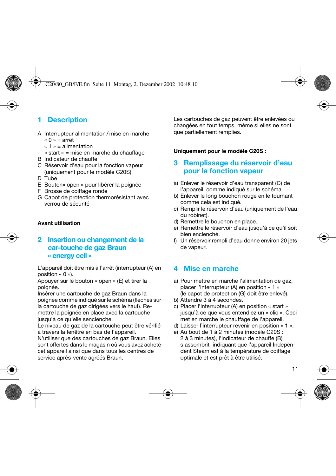## **1 Description**

- A Interrupteur alimentation / mise en marche « 0 » = arrêt
	- $\kappa$  1  $\kappa$  = alimentation
	- « start » = mise en marche du chauffage
- B Indicateur de chauffe
- C Réservoir d'eau pour la fonction vapeur (uniquement pour le modèle C20S)
- D Tube
- E Bouton« open » pour libérer la poignée
- F Brosse de coiffage ronde
- G Capot de protection thermorésistant avec verrou de sécurité

## **Avant utilisation**

## **2 Insertion ou changement de la car-touche de gaz Braun « energy cell »**

L'appareil doit être mis à l'arrêt (interrupteur (A) en position « 0 »).

Appuyer sur le bouton « open » (E) et tirer la poignée.

Insérer une cartouche de gaz Braun dans la poignée comme indiqué sur le schéma (flèches sur la cartouche de gaz dirigées vers le haut). Remettre la poignée en place avec la cartouche jusqu'à ce qu'elle senclenche.

Le niveau de gaz de la cartouche peut être vérifié à travers la fenêtre en bas de l'appareil.

N'utiliser que des cartouches de gaz Braun. Elles sont offertes dans le magasin où vous avez acheté cet appareil ainsi que dans tous les centres de service après-vente agréés Braun.

Les cartouches de gaz peuvent être enlevées ou changées en tout temps, même si elles ne sont que partiellement remplies.

### **Uniquement pour le modèle C20S :**

## **3 Remplissage du réservoir d'eau pour la fonction vapeur**

- a) Enlever le réservoir d'eau transparent (C) de l'appareil, comme indiqué sur le schéma.
- b) Enlever le long bouchon rouge en le tournant comme cela est indiqué.
- c) Remplir le réservoir d'eau (uniquement de l'eau du robinet).
- d) Remettre le bouchon en place.
- e) Remettre le réservoir d'eau jusqu'à ce qu'il soit bien enclenché.
- f) Un réservoir rempli d'eau donne environ 20 jets de vapeur.

## **4 Mise en marche**

- a) Pour mettre en marche l'alimentation de gaz, placer l'interrupteur (A) en position « 1 » (le capot de protection (G) doit être enlevé).
- b) Attendre 3 à 4 secondes.
- c) Placer l'interrupteur (A) en position « start » jusqu'à ce que vous entendiez un « clic ». Ceci met en marche le chauffage de l'appareil.
- d) Laisser l'interrupteur revenir en position « 1 ».
- e) Au bout de 1 à 2 minutes (modèle C20S : 2 à 3 minutes), l'indicateur de chauffe (B) s'assombrit indiquant que l'appareil Independent Steam est à la température de coiffage optimale et est prêt à être utilisé.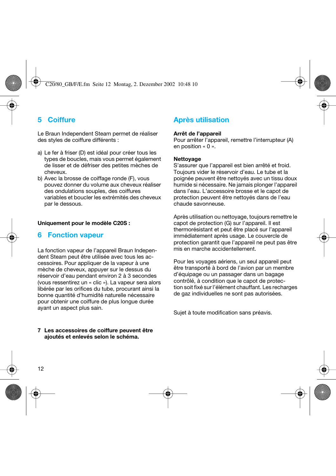## **5 Coiffure**

Le Braun Independent Steam permet de réaliser des styles de coiffure différents :

- a) Le fer à friser (D) est idéal pour créer tous les types de boucles, mais vous permet également de lisser et de défriser des petites mèches de cheveux.
- b) Avec la brosse de coiffage ronde (F), vous pouvez donner du volume aux cheveux réaliser des ondulations souples, des coiffures variables et boucler les extrémités des cheveux par le dessous.

#### **Uniquement pour le modèle C20S :**

## **6 Fonction vapeur**

La fonction vapeur de l'appareil Braun Independent Steam peut être utilisée avec tous les accessoires. Pour appliquer de la vapeur à une mèche de cheveux, appuyer sur le dessus du réservoir d'eau pendant environ 2 à 3 secondes (vous ressentirez un « clic »). La vapeur sera alors libérée par les orifices du tube, procurant ainsi la bonne quantité d'humidité naturelle nécessaire pour obtenir une coiffure de plus longue durée ayant un aspect plus sain.

#### **7 Les accessoires de coiffure peuvent être ajoutés et enlevés selon le schéma.**

## **Après utilisation**

#### **Arrêt de l'appareil**

Pour arrêter l'appareil, remettre l'interrupteur (A) en position « 0 ».

#### **Nettoyage**

S'assurer que l'appareil est bien arrêté et froid. Toujours vider le réservoir d'eau. Le tube et la poignée peuvent être nettoyés avec un tissu doux humide si nécessaire. Ne jamais plonger l'appareil dans l'eau. L'accessoire brosse et le capot de protection peuvent être nettoyés dans de l'eau chaude savonneuse.

Après utilisation ou nettoyage, toujours remettre le capot de protection (G) sur l'appareil. Il est thermorésistant et peut être placé sur l'appareil immédiatement après usage. Le couvercle de protection garantit que l'appareil ne peut pas être mis en marche accidentellement.

Pour les voyages aériens, un seul appareil peut être transporté à bord de l'avion par un membre d'équipage ou un passager dans un bagage contrôlé, à condition que le capot de protection soit fixé sur l'élément chauffant. Les recharges de gaz individuelles ne sont pas autorisées.

Sujet à toute modification sans préavis.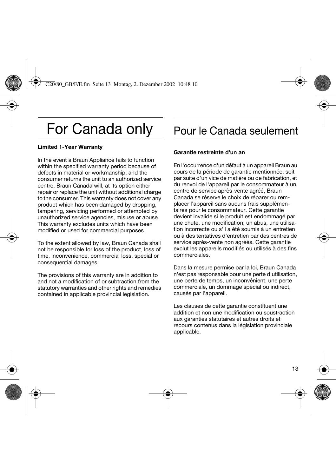# For Canada only

### **Limited 1-Year Warranty**

In the event a Braun Appliance fails to function within the specified warranty period because of defects in material or workmanship, and the consumer returns the unit to an authorized service centre, Braun Canada will, at its option either repair or replace the unit without additional charge to the consumer. This warranty does not cover any product which has been damaged by dropping, tampering, servicing performed or attempted by unauthorized service agencies, misuse or abuse. This warranty excludes units which have been modified or used for commercial purposes.

To the extent allowed by law, Braun Canada shall not be responsible for loss of the product, loss of time, inconvenience, commercial loss, special or consequential damages.

The provisions of this warranty are in addition to and not a modification of or subtraction from the statutory warranties and other rights and remedies contained in applicable provincial legislation.

# Pour le Canada seulement

#### **Garantie restreinte d'un an**

En l'occurrence d'un défaut à un appareil Braun au cours de la période de garantie mentionnée, soit par suite d'un vice de matière ou de fabrication, et du renvoi de l'appareil par le consommateur à un centre de service après-vente agréé, Braun Canada se réserve le choix de réparer ou remplacer l'appareil sans aucuns frais supplémentaires pour le consommateur. Cette garantie devient invalide si le produit est endommagé par une chute, une modification, un abus, une utilisation incorrecte ou s'il a été soumis à un entretien ou à des tentatives d'entretien par des centres de service après-vente non agréés. Cette garantie exclut les appareils modifiés ou utilisés à des fins commerciales.

Dans la mesure permise par la loi, Braun Canada n'est pas responsable pour une perte d'utilisation, une perte de temps, un inconvénient, une perte commerciale, un dommage spécial ou indirect, causés par l'appareil.

Les clauses de cette garantie constituent une addition et non une modification ou soustraction aux garanties statutaires et autres droits et recours contenus dans la législation provinciale applicable.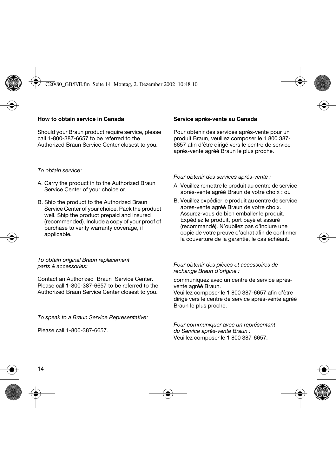### **How to obtain service in Canada**

Should your Braun product require service, please call 1-800-387-6657 to be referred to the Authorized Braun Service Center closest to you.

## *To obtain service:*

- A. Carry the product in to the Authorized Braun Service Center of your choice or,
- B. Ship the product to the Authorized Braun Service Center of your choice. Pack the product well. Ship the product prepaid and insured (recommended). Include a copy of your proof of purchase to verify warranty coverage, if applicable.

#### *To obtain original Braun replacement parts & accessories:*

Contact an Authorized Braun Service Center. Please call 1-800-387-6657 to be referred to the Authorized Braun Service Center closest to you.

*To speak to a Braun Service Representative:*

Please call 1-800-387-6657.

## **Service après-vente au Canada**

Pour obtenir des services après-vente pour un produit Braun, veuillez composer le 1 800 387- 6657 afin d'être dirigé vers le centre de service après-vente agréé Braun le plus proche.

*Pour obtenir des services après-vente :*

- A. Veuillez remettre le produit au centre de service après-vente agréé Braun de votre choix : ou
- B. Veuillez expédier le produit au centre de service après-vente agréé Braun de votre choix. Assurez-vous de bien emballer le produit. Expédiez le produit, port payé et assuré (recommandé). N'oubliez pas d'inclure une copie de votre preuve d'achat afin de confirmer la couverture de la garantie, le cas échéant.

*Pour obtenir des pièces et accessoires de rechange Braun d'origine :* 

communiquez avec un centre de service aprèsvente agréé Braun.

Veuillez composer le 1 800 387-6657 afin d'être dirigé vers le centre de service après-vente agréé Braun le plus proche.

*Pour communiquer avec un représentant du Service après-vente Braun :*  Veuillez composer le 1 800 387-6657.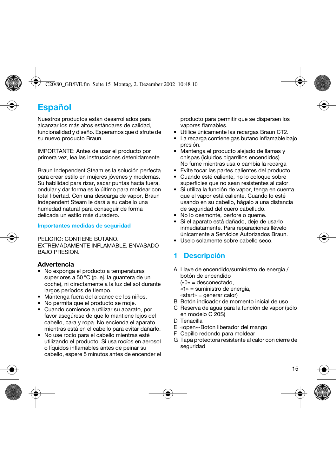## **Español**

Nuestros productos están desarrollados para alcanzar los más altos estándares de calidad, funcionalidad y diseño. Esperamos que disfrute de su nuevo producto Braun.

IMPORTANTE: Antes de usar el producto por primera vez, lea las instrucciones detenidamente.

Braun Independent Steam es la solución perfecta para crear estilo en mujeres jóvenes y modernas. Su habilidad para rizar, sacar puntas hacia fuera, ondular y dar forma es lo último para moldear con total libertad. Con una descarga de vapor. Braun Independent Steam le dará a su cabello una humedad natural para conseguir de forma delicada un estilo más duradero.

### **Importantes medidas de seguridad**

PELIGRO: CONTIENE BUTANO. EXTREMADAMENTE INFLAMABLE. ENVASADO BAJO PRESION.

## **Advertencia**

- No exponga el producto a temperaturas superiores a 50 °C (p. ej. la guantera de un coche), ni directamente a la luz del sol durante largos períodos de tiempo.
- Mantenga fuera del alcance de los niños.
- No permita que el producto se moje.
- Cuando comience a utilizar su aparato, por favor asegúrese de que lo mantiene lejos del cabello, cara y ropa. No encienda el aparato mientras está en el cabello para evitar dañarlo.
- No use rocío para el cabello mientras esté utilizando el producto. Si usa rocíos en aerosol o líquidos inflamables antes de peinar su cabello, espere 5 minutos antes de encender el

producto para permitir que se dispersen los vapores flamables.

- Utilice únicamente las recargas Braun CT2.
- La recarga contiene gas butano inflamable bajo presión.
- Mantenga el producto alejado de llamas y chispas (icluidos cigarrillos encendidos). No fume mientras usa o cambia la recarga
- Evite tocar las partes calientes del producto.
- Cuando esté caliente, no lo coloque sobre superficies que no sean resistentes al calor.
- Si utiliza la función de vapor, tenga en cuenta que el vapor está caliente. Cuando lo esté usando en su cabello, hágalo a una distancia de seguridad del cuero cabelludo.
- No lo desmonte, perfore o queme.
- Si el aparato está dañado, deje de usarlo inmediatamente. Para reparaciones llévelo únicamente a Servicios Autorizados Braun.
- Uselo solamente sobre cabello seco.

## **1 Descripción**

- A Llave de encendido/suministro de energía / botón de encendido
	- («0» = desconectado,
	- «1» = suministro de energía,
	- «start» = generar calor)
- B Botón indicador de momento inicial de uso
- C Reserva de agua para la función de vapor (sólo en modelo C 20S)
- D Tenacilla
- E «open»-Botón liberador del mango
- F Cepillo redondo para moldear
- G Tapa protectora resistente al calor con cierre de seguridad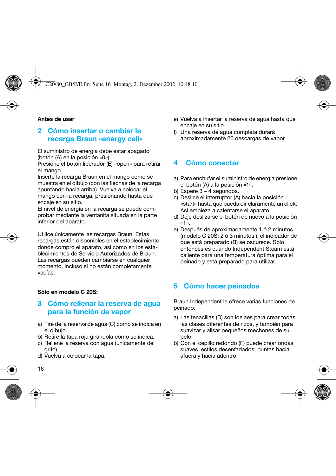#### **Antes de usar**

## **2 Cómo insertar o cambiar la recarga Braun «energy cell»**

El suministro de energía debe estar apagado (botón (A) en la posición «0»).

Presione el botón liberador (E) «open» para retirar el mango.

Inserte la recarga Braun en el mango como se muestra en el dibujo (con las flechas de la recarga apuntando hacia arriba). Vuelva a colocar el mango con la recarga, presiónando hasta que encaje en su sitio.

El nivel de energía en la recarga se puede comprobar mediante la ventanita situada en la parte inferior del aparato.

Utilice únicamente las recargas Braun. Estas recargas están disponibles en el establecimiento donde compró el aparato, así como en los establecimientos de Servicio Autorizados de Braun. Las recargas pueden cambiarse en cualquier momento, incluso si no están completamente vacías.

#### **Sólo en modelo C 20S:**

## **3 Cómo rellenar la reserva de agua para la función de vapor**

- a) Tire de la reserva de agua (C) como se indica en el dibujo.
- b) Retire la tapa roja girándola como se indica.
- c) Rellene la reserva con agua (únicamente del grifo).
- d) Vuelva a colocar la tapa.
- e) Vuelva a insertar la reserva de agua hasta que encaje en su sitio.
- f) Una reserva de agua completa durará aproximadamente 20 descargas de vapor.

## **4 Cómo conectar**

- a) Para enchufar el suministro de energía presione el botón (A) a la posición «1».
- b) Espere 3 4 segundos.
- c) Deslice el interruptor (A) hacia la posición «start» hasta que pueda oir claramente un click. Así empieza a calentarse el aparato.
- d) Deje deslizarse el botón de nuevo a la posición «1».
- e) Después de aproximadamente 1 ó 2 minutos (modelo C 20S: 2 ó 3 minutos ), el indicador de que está preparado (B) se oscurece. Sólo entonces es cuando Independent Steam está caliente para una temperatura óptima para el peinado y está preparado para utilizar.

## **5 Cómo hacer peinados**

Braun Independent le ofrece varias funciones de peinado:

- a) Las tenacillas (D) son idelaes para crear todas las clases diferentes de rizos, y también para suavizar y alisar pequeños mechones de su pelo.
- b) Con el cepillo redondo (F) puede crear ondas suaves, estilos desenfadados, puntas hacia afuera y hacia adentro.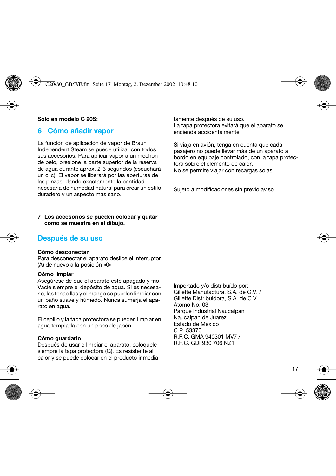#### **Sólo en modelo C 20S:**

## **6 Cómo añadir vapor**

La función de aplicación de vapor de Braun Independent Steam se puede utilizar con todos sus accesorios. Para aplicar vapor a un mechón de pelo, presione la parte superior de la reserva de agua durante aprox. 2-3 segundos (escuchará un clic). El vapor se liberará por las aberturas de las pinzas, dando exactamente la cantidad necesaria de humedad natural para crear un estilo duradero y un aspecto más sano.

#### **7 Los accesorios se pueden colocar y quitar como se muestra en el dibujo.**

## **Después de su uso**

#### **Cómo desconectar**

Para desconectar el aparato deslice el interruptor (A) de nuevo a la posición «0»

#### **Cómo limpiar**

Asegúrese de que el aparato esté apagado y frío. Vacíe siempre el depósito de agua. Si es necesario, las tenacillas y el mango se pueden limpiar con un paño suave y húmedo. Nunca sumerja el aparato en agua.

El cepillo y la tapa protectora se pueden limpiar en agua templada con un poco de jabón.

#### **Cómo guardarlo**

Después de usar o limpiar el aparato, colóquele siempre la tapa protectora (G). Es resistente al calor y se puede colocar en el producto inmediatamente después de su uso. La tapa protectora evitará que el aparato se encienda accidentalmente.

Si viaja en avión, tenga en cuenta que cada pasajero no puede llevar más de un aparato a bordo en equipaje controlado, con la tapa protectora sobre el elemento de calor. No se permite viajar con recargas solas.

Sujeto a modificaciones sin previo aviso.

Importado y/o distribuído por: Gillette Manufactura, S.A. de C.V. / Gillette Distribuidora, S.A. de C.V. Atomo No. 03 Parque Industrial Naucalpan Naucalpan de Juarez Estado de México C.P. 53370 R.F.C. GMA 940301 MV7 / R.F.C. GDI 930 706 NZ1